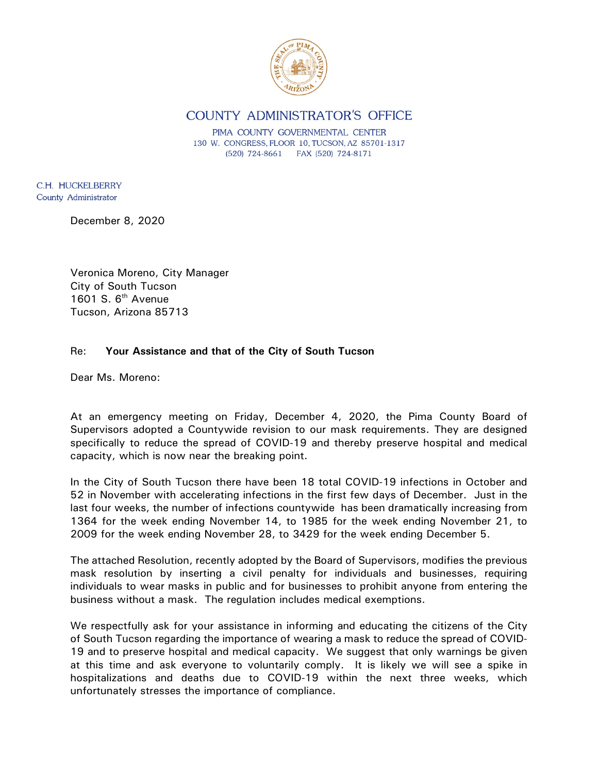

COUNTY ADMINISTRATOR'S OFFICE

PIMA COUNTY GOVERNMENTAL CENTER 130 W. CONGRESS, FLOOR 10, TUCSON, AZ 85701-1317 (520) 724-8661 FAX (520) 724-8171

C.H. HUCKELBERRY County Administrator

December 8, 2020

Veronica Moreno, City Manager City of South Tucson 1601 S. 6<sup>th</sup> Avenue Tucson, Arizona 85713

## Re: **Your Assistance and that of the City of South Tucson**

Dear Ms. Moreno:

At an emergency meeting on Friday, December 4, 2020, the Pima County Board of Supervisors adopted a Countywide revision to our mask requirements. They are designed specifically to reduce the spread of COVID-19 and thereby preserve hospital and medical capacity, which is now near the breaking point.

In the City of South Tucson there have been 18 total COVID-19 infections in October and 52 in November with accelerating infections in the first few days of December. Just in the last four weeks, the number of infections countywide has been dramatically increasing from 1364 for the week ending November 14, to 1985 for the week ending November 21, to 2009 for the week ending November 28, to 3429 for the week ending December 5.

The attached Resolution, recently adopted by the Board of Supervisors, modifies the previous mask resolution by inserting a civil penalty for individuals and businesses, requiring individuals to wear masks in public and for businesses to prohibit anyone from entering the business without a mask. The regulation includes medical exemptions.

We respectfully ask for your assistance in informing and educating the citizens of the City of South Tucson regarding the importance of wearing a mask to reduce the spread of COVID-19 and to preserve hospital and medical capacity. We suggest that only warnings be given at this time and ask everyone to voluntarily comply. It is likely we will see a spike in hospitalizations and deaths due to COVID-19 within the next three weeks, which unfortunately stresses the importance of compliance.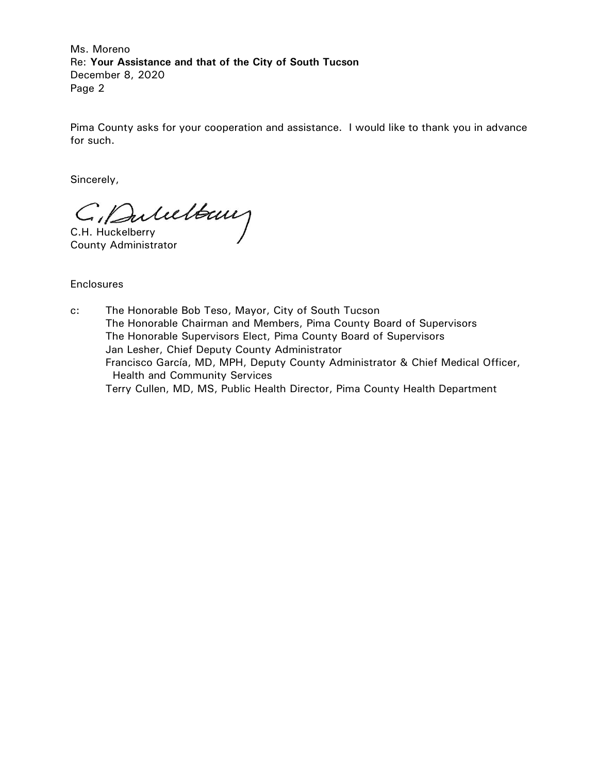Ms. Moreno Re: **Your Assistance and that of the City of South Tucson** December 8, 2020 Page 2

Pima County asks for your cooperation and assistance. I would like to thank you in advance for such.

Sincerely,

C. Dulultaux

County Administrator

**Enclosures** 

c: The Honorable Bob Teso, Mayor, City of South Tucson The Honorable Chairman and Members, Pima County Board of Supervisors The Honorable Supervisors Elect, Pima County Board of Supervisors Jan Lesher, Chief Deputy County Administrator Francisco García, MD, MPH, Deputy County Administrator & Chief Medical Officer, Health and Community Services Terry Cullen, MD, MS, Public Health Director, Pima County Health Department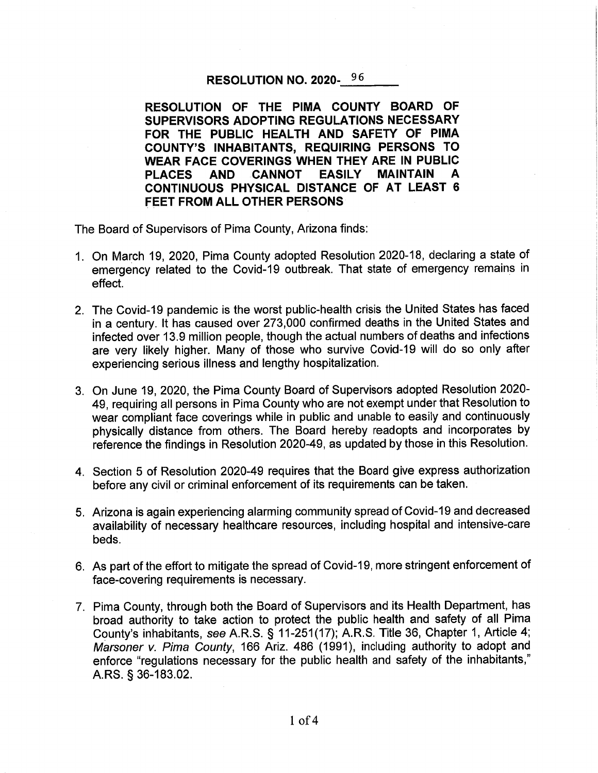## RESOLUTION NO. 2020-96

RESOLUTION OF THE PIMA COUNTY BOARD OF SUPERVISORS ADOPTING REGULATIONS NECESSARY FOR THE PUBLIC HEALTH AND SAFETY OF PIMA **COUNTY'S INHABITANTS, REQUIRING PERSONS TO** WEAR FACE COVERINGS WHEN THEY ARE IN PUBLIC **PLACES** AND CANNOT **EASILY MAINTAIN** A CONTINUOUS PHYSICAL DISTANCE OF AT LEAST 6 **FEET FROM ALL OTHER PERSONS** 

The Board of Supervisors of Pima County, Arizona finds:

- 1. On March 19, 2020, Pima County adopted Resolution 2020-18, declaring a state of emergency related to the Covid-19 outbreak. That state of emergency remains in effect.
- 2. The Covid-19 pandemic is the worst public-health crisis the United States has faced in a century. It has caused over 273,000 confirmed deaths in the United States and infected over 13.9 million people, though the actual numbers of deaths and infections are very likely higher. Many of those who survive Covid-19 will do so only after experiencing serious illness and lengthy hospitalization.
- 3. On June 19, 2020, the Pima County Board of Supervisors adopted Resolution 2020-49, requiring all persons in Pima County who are not exempt under that Resolution to wear compliant face coverings while in public and unable to easily and continuously physically distance from others. The Board hereby readopts and incorporates by reference the findings in Resolution 2020-49, as updated by those in this Resolution.
- 4. Section 5 of Resolution 2020-49 requires that the Board give express authorization before any civil or criminal enforcement of its requirements can be taken.
- 5. Arizona is again experiencing alarming community spread of Covid-19 and decreased availability of necessary healthcare resources, including hospital and intensive-care beds.
- 6. As part of the effort to mitigate the spread of Covid-19, more stringent enforcement of face-covering requirements is necessary.
- 7. Pima County, through both the Board of Supervisors and its Health Department, has broad authority to take action to protect the public health and safety of all Pima County's inhabitants, see A.R.S. § 11-251(17); A.R.S. Title 36, Chapter 1, Article 4; Marsoner v. Pima County, 166 Ariz. 486 (1991), including authority to adopt and enforce "regulations necessary for the public health and safety of the inhabitants," A.RS. § 36-183.02.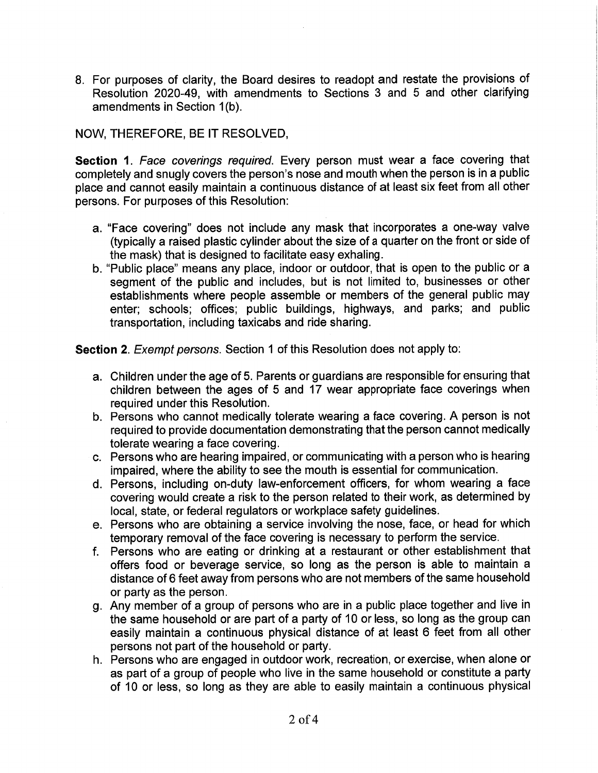8. For purposes of clarity, the Board desires to readopt and restate the provisions of Resolution 2020-49, with amendments to Sections 3 and 5 and other clarifying amendments in Section 1(b).

## NOW, THEREFORE, BE IT RESOLVED,

Section 1. Face coverings required. Every person must wear a face covering that completely and snugly covers the person's nose and mouth when the person is in a public place and cannot easily maintain a continuous distance of at least six feet from all other persons. For purposes of this Resolution:

- a. "Face covering" does not include any mask that incorporates a one-way valve (typically a raised plastic cylinder about the size of a quarter on the front or side of the mask) that is designed to facilitate easy exhaling.
- b. "Public place" means any place, indoor or outdoor, that is open to the public or a segment of the public and includes, but is not limited to, businesses or other establishments where people assemble or members of the general public may enter; schools; offices; public buildings, highways, and parks; and public transportation, including taxicabs and ride sharing.

Section 2. Exempt persons. Section 1 of this Resolution does not apply to:

- a. Children under the age of 5. Parents or guardians are responsible for ensuring that children between the ages of 5 and 17 wear appropriate face coverings when required under this Resolution.
- b. Persons who cannot medically tolerate wearing a face covering. A person is not required to provide documentation demonstrating that the person cannot medically tolerate wearing a face covering.
- c. Persons who are hearing impaired, or communicating with a person who is hearing impaired, where the ability to see the mouth is essential for communication.
- d. Persons, including on-duty law-enforcement officers, for whom wearing a face covering would create a risk to the person related to their work, as determined by local, state, or federal regulators or workplace safety guidelines.
- e. Persons who are obtaining a service involving the nose, face, or head for which temporary removal of the face covering is necessary to perform the service.
- f. Persons who are eating or drinking at a restaurant or other establishment that offers food or beverage service, so long as the person is able to maintain a distance of 6 feet away from persons who are not members of the same household or party as the person.
- g. Any member of a group of persons who are in a public place together and live in the same household or are part of a party of 10 or less, so long as the group can easily maintain a continuous physical distance of at least 6 feet from all other persons not part of the household or party.
- h. Persons who are engaged in outdoor work, recreation, or exercise, when alone or as part of a group of people who live in the same household or constitute a party of 10 or less, so long as they are able to easily maintain a continuous physical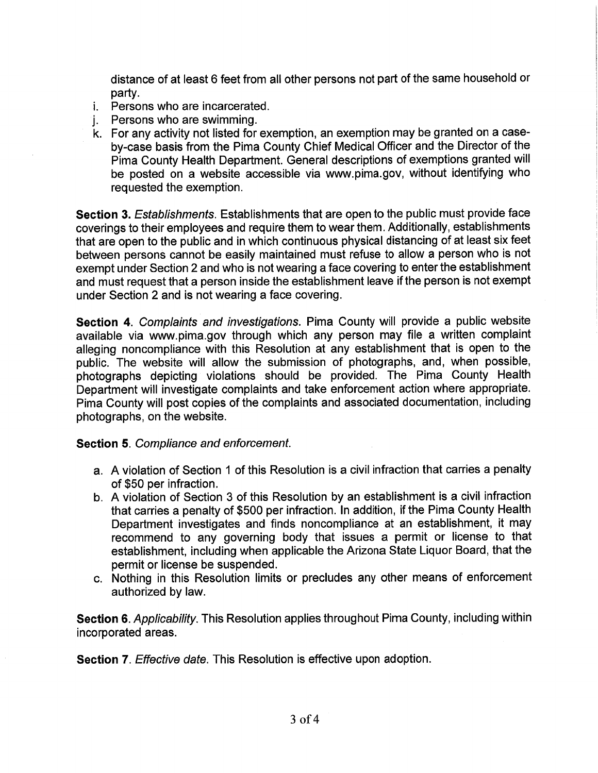distance of at least 6 feet from all other persons not part of the same household or partv.

- *i.* Persons who are incarcerated.
- Persons who are swimming. i.
- k. For any activity not listed for exemption, an exemption may be granted on a caseby-case basis from the Pima County Chief Medical Officer and the Director of the Pima County Health Department. General descriptions of exemptions granted will be posted on a website accessible via www.pima.gov, without identifying who requested the exemption.

Section 3. Establishments. Establishments that are open to the public must provide face coverings to their employees and require them to wear them. Additionally, establishments that are open to the public and in which continuous physical distancing of at least six feet between persons cannot be easily maintained must refuse to allow a person who is not exempt under Section 2 and who is not wearing a face covering to enter the establishment and must request that a person inside the establishment leave if the person is not exempt under Section 2 and is not wearing a face covering.

Section 4. Complaints and investigations. Pima County will provide a public website available via www.pima.gov through which any person may file a written complaint alleging noncompliance with this Resolution at any establishment that is open to the public. The website will allow the submission of photographs, and, when possible, photographs depicting violations should be provided. The Pima County Health Department will investigate complaints and take enforcement action where appropriate. Pima County will post copies of the complaints and associated documentation, including photographs, on the website.

## **Section 5. Compliance and enforcement.**

- a. A violation of Section 1 of this Resolution is a civil infraction that carries a penalty of \$50 per infraction.
- b. A violation of Section 3 of this Resolution by an establishment is a civil infraction that carries a penalty of \$500 per infraction. In addition, if the Pima County Health Department investigates and finds noncompliance at an establishment, it may recommend to any governing body that issues a permit or license to that establishment, including when applicable the Arizona State Liquor Board, that the permit or license be suspended.
- c. Nothing in this Resolution limits or precludes any other means of enforcement authorized by law.

Section 6. Applicability. This Resolution applies throughout Pima County, including within incorporated areas.

**Section 7.** Effective date. This Resolution is effective upon adoption.